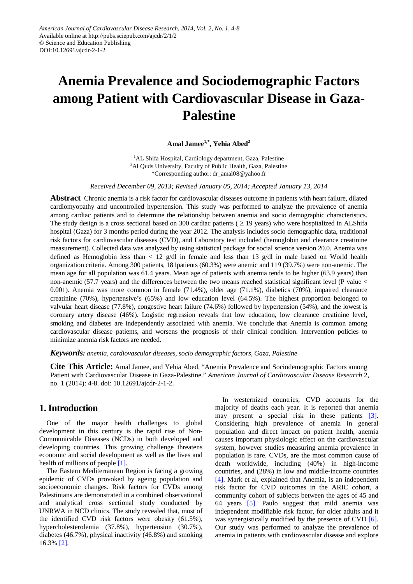# **Anemia Prevalence and Sociodemographic Factors among Patient with Cardiovascular Disease in Gaza-Palestine**

**Amal Jamee1,\*, Yehia Abed2**

<sup>1</sup>AL Shifa Hospital, Cardiology department, Gaza, Palestine <sup>2</sup>Al Quds University, Faculty of Public Health, Gaza, Palestine \*Corresponding author: dr\_amal08@yahoo.fr

*Received December 09, 2013; Revised January 05, 2014; Accepted January 13, 2014*

**Abstract** Chronic anemia is a risk factor for cardiovascular diseases outcome in patients with heart failure, dilated cardiomyopathy and uncontrolled hypertension. This study was performed to analyze the prevalence of anemia among cardiac patients and to determine the relationship between anemia and socio demographic characteristics. The study design is a cross sectional based on 300 cardiac patients ( $\geq$  19 years) who were hospitalized in ALShifa hospital (Gaza) for 3 months period during the year 2012. The analysis includes socio demographic data, traditional risk factors for cardiovascular diseases (CVD), and Laboratory test included (hemoglobin and clearance creatinine measurement). Collected data was analyzed by using statistical package for social science version 20.0. Anemia was defined as Hemoglobin less than  $\lt 12$  g/dl in female and less than 13 g/dl in male based on World health organization criteria. Among 300 patients, 181patients (60.3%) were anemic and 119 (39.7%) were non-anemic. The mean age for all population was 61.4 years. Mean age of patients with anemia tends to be higher (63.9 years) than non-anemic (57.7 years) and the differences between the two means reached statistical significant level (P value < 0.001). Anemia was more common in female (71.4%), older age (71.1%), diabetics (70%), impaired clearance creatinine (70%), hypertensive's (65%) and low education level (64.5%). The highest proportion belonged to valvular heart disease (77.8%), congestive heart failure (74.6%) followed by hypertension (54%), and the lowest is coronary artery disease (46%). Logistic regression reveals that low education, low clearance creatinine level, smoking and diabetes are independently associated with anemia. We conclude that Anemia is common among cardiovascular disease patients, and worsens the prognosis of their clinical condition. Intervention policies to minimize anemia risk factors are needed.

#### *Keywords: anemia, cardiovascular diseases, socio demographic factors, Gaza, Palestine*

**Cite This Article:** Amal Jamee, and Yehia Abed, "Anemia Prevalence and Sociodemographic Factors among Patient with Cardiovascular Disease in Gaza-Palestine." *American Journal of Cardiovascular Disease Research* 2, no. 1 (2014): 4-8. doi: 10.12691/ajcdr-2-1-2.

# **1. Introduction**

One of the major health challenges to global development in this century is the rapid rise of Non-Communicable Diseases (NCDs) in both developed and developing countries. This growing challenge threatens economic and social development as well as the lives and health of millions of peopl[e \[1\].](#page-3-0)

The Eastern Mediterranean Region is facing a growing epidemic of CVDs provoked by ageing population and socioeconomic changes. Risk factors for CVDs among Palestinians are demonstrated in a combined observational and analytical cross sectional study conducted by UNRWA in NCD clinics. The study revealed that, most of the identified CVD risk factors were obesity (61.5%), hypercholesterolemia (37.8%), hypertension (30.7%), diabetes (46.7%), physical inactivity (46.8%) and smoking 16.3% [\[2\].](#page-3-1)

In westernized countries, CVD accounts for the majority of deaths each year. It is reported that anemia may present a special risk in these patients [\[3\].](#page-3-2) Considering high prevalence of anemia in general population and direct impact on patient health, anemia causes important physiologic effect on the cardiovascular system, however studies measuring anemia prevalence in population is rare. CVDs, are the most common cause of death worldwide, including (40%) in high-income countries, and (28%) in low and middle-income countries [\[4\].](#page-3-3) Mark et al, explained that Anemia, is an independent risk factor for CVD outcomes in the ARIC cohort, a community cohort of subjects between the ages of 45 and 64 years [\[5\].](#page-4-0) Paulo suggest that mild anemia was independent modifiable risk factor, for older adults and it was synergistically modified by the presence of CVD [\[6\].](#page-4-1) Our study was performed to analyze the prevalence of anemia in patients with cardiovascular disease and explore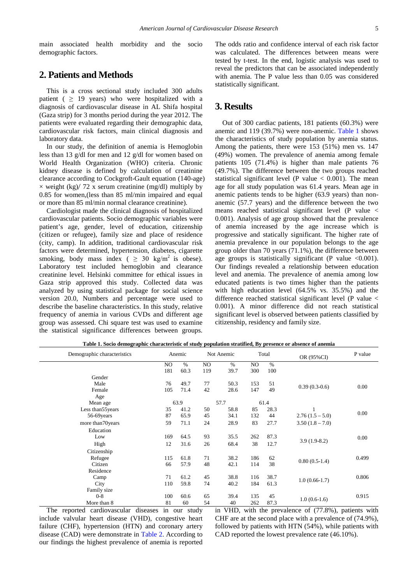main associated health morbidity and the socio demographic factors.

# **2. Patients and Methods**

This is a cross sectional study included 300 adults patient ( $\geq$  19 years) who were hospitalized with a diagnosis of cardiovascular disease in AL Shifa hospital (Gaza strip) for 3 months period during the year 2012. The patients were evaluated regarding their demographic data, cardiovascular risk factors, main clinical diagnosis and laboratory data.

In our study, the definition of anemia is Hemoglobin less than 13 g/dl for men and 12 g/dl for women based on World Health Organization (WHO) criteria. Chronic kidney disease is defined by calculation of creatinine clearance according to Cockgroft-Gault equation (140-age)  $\times$  weight (kg)/ 72 x serum creatinine (mg/dl) multiply by 0.85 for women,(less than 85 ml/min impaired and equal or more than 85 ml/min normal clearance creatinine).

Cardiologist made the clinical diagnosis of hospitalized cardiovascular patients. Socio demographic variables were patient's age, gender, level of education, citizenship (citizen or refugee), family size and place of residence (city, camp). In addition, traditional cardiovascular risk factors were determined, hypertension, diabetes, cigarette smoking, body mass index (  $\geq$  30 kg/m<sup>2</sup> is obese). Laboratory test included hemoglobin and clearance creatinine level. Helsinki committee for ethical issues in Gaza strip approved this study. Collected data was analyzed by using statistical package for social science version 20.0, Numbers and percentage were used to describe the baseline characteristics. In this study, relative frequency of anemia in various CVDs and different age group was assessed. Chi square test was used to examine the statistical significance differences between groups. The odds ratio and confidence interval of each risk factor was calculated. The differences between means were tested by t-test. In the end, logistic analysis was used to reveal the predictors that can be associated independently with anemia. The P value less than 0.05 was considered statistically significant.

#### **3. Results**

Out of 300 cardiac patients, 181 patients (60.3%) were anemic and 119 (39.7%) were non-anemic. [Table 1](#page-1-0) shows the characteristics of study population by anemia status. Among the patients, there were 153 (51%) men vs. 147 (49%) women. The prevalence of anemia among female patients 105 (71.4%) is higher than male patients 76 (49.7%). The difference between the two groups reached statistical significant level (P value  $< 0.001$ ). The mean age for all study population was 61.4 years. Mean age in anemic patients tends to be higher (63.9 years) than nonanemic (57.7 years) and the difference between the two means reached statistical significant level (P value < 0.001). Analysis of age group showed that the prevalence of anemia increased by the age increase which is progressive and statically significant. The higher rate of anemia prevalence in our population belongs to the age group older than 70 years (71.1%), the difference between age groups is statistically significant (P value  $\leq 0.001$ ). Our findings revealed a relationship between education level and anemia. The prevalence of anemia among low educated patients is two times higher than the patients with high education level (64.5% vs. 35.5%) and the difference reached statistical significant level (P value < 0.001). A minor difference did not reach statistical significant level is observed between patients classified by citizenship, residency and family size.

| Table 1. Socio demographic characteristic of study population stratified, By presence or absence of anemia |  |  |  |  |  |  |  |
|------------------------------------------------------------------------------------------------------------|--|--|--|--|--|--|--|
|------------------------------------------------------------------------------------------------------------|--|--|--|--|--|--|--|

<span id="page-1-0"></span>

| Demographic characteristics | Anemic         |      | Not Anemic     |      | Total |      | OR (95%CI)        | P value |
|-----------------------------|----------------|------|----------------|------|-------|------|-------------------|---------|
|                             | N <sub>O</sub> | $\%$ | N <sub>O</sub> | $\%$ | NO.   | $\%$ |                   |         |
|                             | 181            | 60.3 | 119            | 39.7 | 300   | 100  |                   |         |
| Gender                      |                |      |                |      |       |      |                   |         |
| Male                        | 76             | 49.7 | 77             | 50.3 | 153   | 51   |                   |         |
| Female                      | 105            | 71.4 | 42             | 28.6 | 147   | 49   | $0.39(0.3-0.6)$   | 0.00    |
| Age                         |                |      |                |      |       |      |                   |         |
| Mean age                    |                | 63.9 |                | 57.7 |       | 61.4 |                   |         |
| Less than 55 years          | 35             | 41.2 | 50             | 58.8 | 85    | 28.3 |                   |         |
| 56-69 years                 | 87             | 65.9 | 45             | 34.1 | 132   | 44   | $2.76(1.5-5.0)$   | 0.00    |
| more than 70 years          | 59             | 71.1 | 24             | 28.9 | 83    | 27.7 | $3.50(1.8 - 7.0)$ |         |
| Education                   |                |      |                |      |       |      |                   |         |
| Low                         | 169            | 64.5 | 93             | 35.5 | 262   | 87.3 |                   | 0.00    |
| High                        | 12             | 31.6 | 26             | 68.4 | 38    | 12.7 | $3.9(1.9-8.2)$    |         |
| Citizenship                 |                |      |                |      |       |      |                   |         |
| Refugee                     | 115            | 61.8 | 71             | 38.2 | 186   | 62   |                   | 0.499   |
| Citizen                     | 66             | 57.9 | 48             | 42.1 | 114   | 38   | $0.80(0.5-1.4)$   |         |
| Residence                   |                |      |                |      |       |      |                   |         |
| Camp                        | 71             | 61.2 | 45             | 38.8 | 116   | 38.7 |                   | 0.806   |
| City                        | 110            | 59.8 | 74             | 40.2 | 184   | 61.3 | $1.0(0.66-1.7)$   |         |
| Family size                 |                |      |                |      |       |      |                   |         |
| $0 - 8$                     | 100            | 60.6 | 65             | 39.4 | 135   | 45   |                   | 0.915   |
| More than 8                 | 81             | 60   | 54             | 40   | 262   | 87.3 | $1.0(0.6-1.6)$    |         |

The reported cardiovascular diseases in our study include valvular heart disease (VHD), congestive heart failure (CHF), hypertension (HTN) and coronary artery disease (CAD) were demonstrate in [Table 2.](#page-2-0) According to our findings the highest prevalence of anemia is reported in VHD, with the prevalence of (77.8%), patients with CHF are at the second place with a prevalence of (74.9%), followed by patients with HTN (54%), while patients with CAD reported the lowest prevalence rate (46.10%).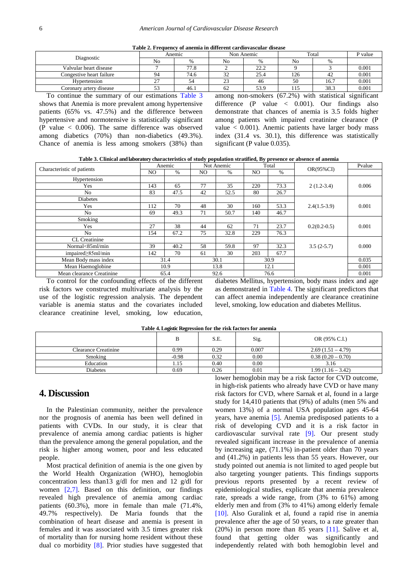| Table 2. Frequency of anemia in different cardiovascular disease |  |  |  |  |
|------------------------------------------------------------------|--|--|--|--|
|------------------------------------------------------------------|--|--|--|--|

<span id="page-2-0"></span>

| Diagnostic                                                                                                                                                                   |    | Anemic |              | Non Anemic | Total | P value |       |  |  |  |
|------------------------------------------------------------------------------------------------------------------------------------------------------------------------------|----|--------|--------------|------------|-------|---------|-------|--|--|--|
|                                                                                                                                                                              | No | $\%$   | No           |            | No    | %       |       |  |  |  |
| Valvular heart disease                                                                                                                                                       |    | 77.8   |              | 22.2       |       |         | 0.001 |  |  |  |
| Congestive heart failure                                                                                                                                                     | 94 | 74.6   | $\sim$<br>32 | 25.4       | 126   | 42      | 0.001 |  |  |  |
| Hypertension                                                                                                                                                                 | າາ | 54     | 23           | 46         | 50    | 16.7    | 0.001 |  |  |  |
| Coronarv arterv disease                                                                                                                                                      | Эź | 46.1   | 62           | 53.9       | 115   | 38.3    | 0.001 |  |  |  |
| the contract of the contract of the contract of the contract of the contract of<br>the contract of the contract of the contract of<br>the control of the control of the con- |    |        |              |            |       |         |       |  |  |  |

To continue the summary of our estimations [Table 3](#page-2-1) shows that Anemia is more prevalent among hypertensive patients (65% vs. 47.5%) and the difference between hypertensive and normotensive is statistically significant (P value < 0.006). The same difference was observed among diabetics (70%) than non-diabetics (49.3%). Chance of anemia is less among smokers (38%) than among non-smokers (67.2%) with statistical significant difference  $(P \text{ value} < 0.001)$ . Our findings also demonstrate that chances of anemia is 3.5 folds higher among patients with impaired creatinine clearance (P value < 0.001). Anemic patients have larger body mass index (31.4 vs. 30.1), this difference was statistically significant (P value 0.035).

**Table 3. Clinical and laboratory characteristics of study population stratified, By presence or absence of anemia**

<span id="page-2-1"></span>

| Characteristic of patients | Anemic |      | Not Anemic |      | Total |      | $OR(95\%CI)$   | Pvalue |
|----------------------------|--------|------|------------|------|-------|------|----------------|--------|
|                            | NO.    | $\%$ | NO.        | %    | NO.   | $\%$ |                |        |
| Hypertension               |        |      |            |      |       |      |                |        |
| Yes                        | 143    | 65   | 77         | 35   | 220   | 73.3 | $2(1.2-3.4)$   | 0.006  |
| No                         | 83     | 47.5 | 42         | 52.5 | 80    | 26.7 |                |        |
| Diabetes                   |        |      |            |      |       |      |                | 0.001  |
| Yes                        | 112    | 70   | 48         | 30   | 160   | 53.3 | $2.4(1.5-3.9)$ |        |
| No                         | 69     | 49.3 | 71         | 50.7 | 140   | 46.7 |                |        |
| Smoking                    |        |      |            |      |       |      |                | 0.001  |
| Yes                        | 27     | 38   | 44         | 62   | 71    | 23.7 | $0.2(0.2-0.5)$ |        |
| No                         | 154    | 67.2 | 75         | 32.8 | 229   | 76.3 |                |        |
| <b>CL</b> Creatinine       |        |      |            |      |       |      |                |        |
| Normal<85ml/min            | 39     | 40.2 | 58         | 59.8 | 97    | 32.3 | $3.5(2-5.7)$   | 0.000  |
| impaired $\geq$ 85ml/min   | 142    | 70   | 61         | 30   | 203   | 67.7 |                |        |
| Mean Body mass index       | 31.4   |      | 30.1       |      | 30.9  |      |                | 0.035  |
| Mean Haemoglobine          | 10.9   |      | 13.8       |      | 12.1  |      |                | 0.001  |
| Mean clearance Creatinine  |        | 65.4 |            | 92.6 | 76.6  |      |                | 0.001  |

To control for the confounding effects of the different risk factors we constructed multivariate analysis by the use of the logistic regression analysis. The dependent variable is anemia status and the covariates included clearance creatinine level, smoking, low education,

diabetes Mellitus, hypertension, body mass index and age as demonstrated in [Table 4.](#page-2-2) The significant predictors that can affect anemia independently are clearance creatinine level, smoking, low education and diabetes Mellitus.

<span id="page-2-2"></span>

|                      | $\sim$<br>$\sim$ |      |       |                     |
|----------------------|------------------|------|-------|---------------------|
|                      | B                | S.E. | Sig.  | OR (95% C.I.)       |
| Clearance Creatinine | 0.99             | 0.29 | 0.007 | $2.69(1.51 - 4.79)$ |
| Smoking              | $-0.98$          | 0.32 | 0.00  | $0.38(0.20 - 0.70)$ |
| Education            | 1.15             | 0.40 | 0.00  | 3.16                |
| <b>Diabetes</b>      | 0.69             | 0.26 | 0.01  | $1.99(1.16 - 3.42)$ |
|                      |                  |      |       |                     |

**Table 4.Logistic Regression for the risk factors for anemia**

# **4. Discussion**

In the Palestinian community, neither the prevalence nor the prognosis of anemia has been well defined in patients with CVDs. In our study, it is clear that prevalence of anemia among cardiac patients is higher than the prevalence among the general population, and the risk is higher among women, poor and less educated people.

Most practical definition of anemia is the one given by the World Health Organization (WHO), hemoglobin concentration less than13 g/dl for men and 12 g/dl for women [\[2,7\].](#page-3-1) Based on this definition, our findings revealed high prevalence of anemia among cardiac patients (60.3%), more in female than male (71.4%, 49.7% respectively). De Maria founds that the combination of heart disease and anemia is present in females and it was associated with 3.5 times greater risk of mortality than for nursing home resident without these dual co morbidity [\[8\].](#page-4-2) Prior studies have suggested that lower hemoglobin may be a risk factor for CVD outcome, in high-risk patients who already have CVD or have many risk factors for CVD, where Sarnak et al, found in a large study for 14,410 patients that (9%) of adults (men 5% and women 13%) of a normal USA population ages 45-64 years, have anemia [\[5\].](#page-4-0) Anemia predisposed patients to a risk of developing CVD and it is a risk factor in cardiovascular survival rate [\[9\].](#page-4-3) Our present study revealed significant increase in the prevalence of anemia by increasing age, (71.1%) in-patient older than 70 years and (41.2%) in patients less than 55 years. However, our study pointed out anemia is not limited to aged people but also targeting younger patients. This findings supports previous reports presented by a recent review of epidemiological studies, explicate that anemia prevalence rate, spreads a wide range, from (3% to 61%) among elderly men and from (3% to 41%) among elderly female [\[10\].](#page-4-4) Also Guralink et al, found a rapid rise in anemia prevalence after the age of 50 years, to a rate greater than (20%) in person more than 85 years [\[11\].](#page-4-5) Salive et al, found that getting older was significantly and independently related with both hemoglobin level and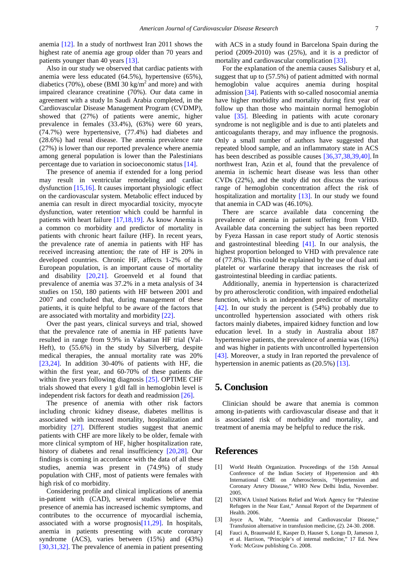anemia [\[12\].](#page-4-6) In a study of northwest Iran 2011 shows the highest rate of anemia age group older than 70 years and patients younger than 40 years [\[13\].](#page-4-7)

Also in our study we observed that cardiac patients with anemia were less educated (64.5%), hypertensive (65%), diabetics (70%), obese (BMI 30 kg/m<sup>2</sup> and more) and with impaired clearance creatinine (70%). Our data came in agreement with a study In Saudi Arabia completed, in the Cardiovascular Disease Management Program (CVDMP), showed that (27%) of patients were anemic, higher prevalence in females (33.4%), (63%) were 60 years, (74.7%) were hypertensive, (77.4%) had diabetes and (28.6%) had renal disease. The anemia prevalence rate (27%) is lower than our reported prevalence where anemia among general population is lower than the Palestinians percentage due to variation in socioeconomic status [\[14\].](#page-4-8)

The presence of anemia if extended for a long period may result in ventricular remodeling and cardiac dysfunction [\[15,16\].](#page-4-9) It causes important physiologic effect on the cardiovascular system. Metabolic effect induced by anemia can result in direct myocardial toxicity, myocyte dysfunction, water retention which could be harmful in patients with heart failure [\[17,18,19\].](#page-4-10) As know Anemia is a common co morbidity and predictor of mortality in patients with chronic heart failure (HF). In recent years, the prevalence rate of anemia in patients with HF has received increasing attention; the rate of HF is 20% in developed countries. Chronic HF, affects 1-2% of the European population, is an important cause of mortality and disability [\[20,21\].](#page-4-11) Groenveld et al found that prevalence of anemia was 37.2% in a meta analysis of 34 studies on 150, 180 patients with HF between 2001 and 2007 and concluded that, during management of these patients, it is quite helpful to be aware of the factors that are associated with mortality and morbidity [\[22\].](#page-4-12)

Over the past years, clinical surveys and trial, showed that the prevalence rate of anemia in HF patients have resulted in range from 9.9% in Valsatran HF trial (Val-Heft), to (55.6%) in the study by Silverberg, despite medical therapies, the annual mortality rate was 20% [\[23,24\].](#page-4-13) In addition 30-40% of patients with HF, die within the first year, and 60-70% of these patients die within five years following diagnosis [\[25\].](#page-4-14) OPTIME CHF trials showed that every 1 g/dl fall in hemoglobin level is independent risk factors for death and readmission [\[26\].](#page-4-15)

The presence of anemia with other risk factors including chronic kidney disease, diabetes mellitus is associated with increased mortality, hospitalization and morbidity [\[27\].](#page-4-16) Different studies suggest that anemic patients with CHF are more likely to be older, female with more clinical symptom of HF, higher hospitalization rate, history of diabetes and renal insufficiency [\[20,28\].](#page-4-11) Our findings is coming in accordance with the data of all these studies, anemia was present in (74.9%) of study population with CHF, most of patients were females with high risk of co morbidity.

Considering profile and clinical implications of anemia in-patient with (CAD), several studies believe that presence of anemia has increased ischemic symptoms, and contributes to the occurrence of myocardial ischemia, associated with a worse prognosi[s\[11,29\].](#page-4-5) In hospitals, anemia in patients presenting with acute coronary syndrome (ACS), varies between (15%) and (43%) [\[30,31,32\].](#page-4-17) The prevalence of anemia in patient presenting

with ACS in a study found in Barcelona Spain during the period (2009-2010) was (25%), and it is a predictor of mortality and cardiovascular complication [\[33\].](#page-4-18)

For the explanation of the anemia causes Salisbury et al, suggest that up to (57.5%) of patient admitted with normal hemoglobin value acquires anemia during hospital admission [\[34\].](#page-4-19) Patients with so-called nosocomial anemia have higher morbidity and mortality during first year of follow up than those who maintain normal hemoglobin value [\[35\].](#page-4-20) Bleeding in patients with acute coronary syndrome is not negligible and is due to anti platelets and anticoagulants therapy, and may influence the prognosis. Only a small number of authors have suggested that repeated blood sample, and an inflammatory state in ACS has been described as possible causes [\[36,37,38,39,40\].](#page-4-21) In northwest Iran, Azin et al, found that the prevalence of anemia in ischemic heart disease was less than other CVDs (22%), and the study did not discuss the various range of hemoglobin concentration affect the risk of hospitalization and mortality [\[13\].](#page-4-7) In our study we found that anemia in CAD was (46.10%).

There are scarce available data concerning the prevalence of anemia in patient suffering from VHD. Available data concerning the subject has been reported by Fyeza Hassan in case report study of Aortic stenosis and gastrointestinal bleeding [\[41\].](#page-4-22) In our analysis, the highest proportion belonged to VHD with prevalence rate of (77.8%). This could be explained by the use of dual anti platelet or warfarine therapy that increases the risk of gastrointestinal bleeding in cardiac patients.

Additionally, anemia in hypertension is characterized by pro atherosclerotic condition, with impaired endothelial function, which is an independent predictor of mortality [\[42\].](#page-4-23) In our study the percent is (54%) probably due to uncontrolled hypertension associated with others risk factors mainly diabetes, impaired kidney function and low education level. In a study in Australia about 187 hypertensive patients, the prevalence of anemia was (16%) and was higher in patients with uncontrolled hypertension [\[43\].](#page-4-24) Moreover, a study in Iran reported the prevalence of hypertension in anemic patients as  $(20.5\%)$  [\[13\].](#page-4-7)

### **5. Conclusion**

Clinician should be aware that anemia is common among in-patients with cardiovascular disease and that it is associated risk of morbidity and mortality, and treatment of anemia may be helpful to reduce the risk.

#### **References**

- <span id="page-3-0"></span>[1] World Health Organization. Proceedings of the 15th Annual Conference of the Indian Society of Hypertension and 4th International CME on Atherosclerosis, "Hypertension and Coronary Artery Disease," WHO New Delhi India, November. 2005.
- <span id="page-3-1"></span>[2] UNRWA United Nations Relief and Work Agency for "Palestine Refugees in the Near East," Annual Report of the Department of Health. 2006.
- <span id="page-3-2"></span>[3] Joyce A, Wahr, "Anemia and Cardiovascular Disease," Transfusion alternative in transfusion medicine, (2). 24-30. 2008.
- <span id="page-3-3"></span>[4] Fauci A, Braunwald E, Kasper D, Hauser S, Longo D, Jameson J, et al. Harrison, "Principle's of internal medicine," 17 Ed. New York: McGraw publishing Co. 2008.